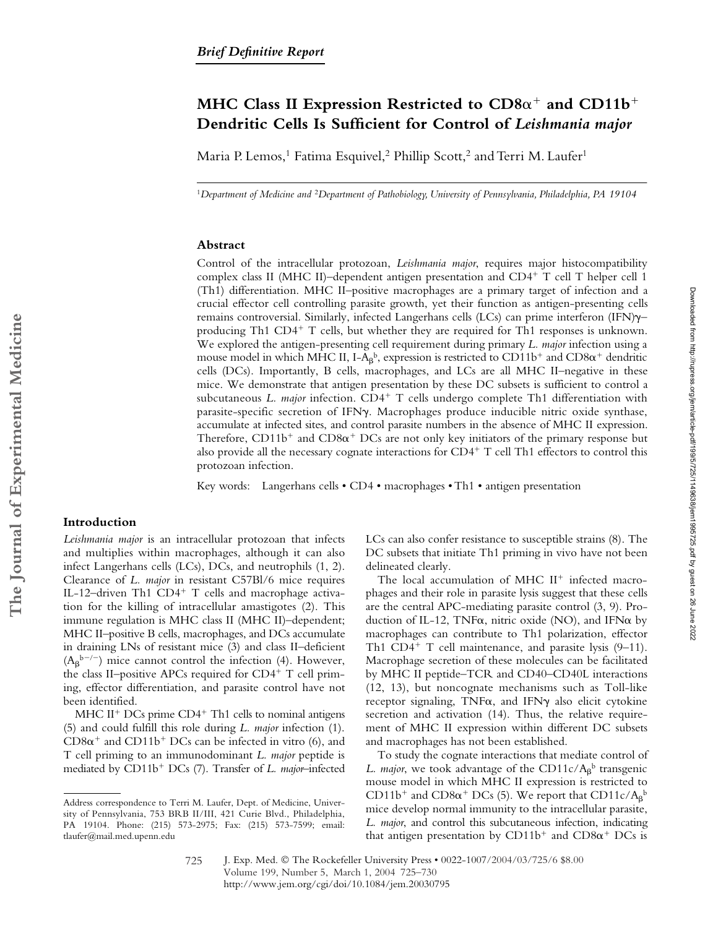# MHC Class II Expression Restricted to  $CD8\alpha^+$  and  $CD11b^+$ **Dendritic Cells Is Sufficient for Control of** *Leishmania major*

Maria P. Lemos,<sup>1</sup> Fatima Esquivel,<sup>2</sup> Phillip Scott,<sup>2</sup> and Terri M. Laufer<sup>1</sup>

<sup>1</sup>*Department of Medicine and* <sup>2</sup>*Department of Pathobiology, University of Pennsylvania, Philadelphia, PA 19104*

#### **Abstract**

Control of the intracellular protozoan, *Leishmania major*, requires major histocompatibility complex class II (MHC II)–dependent antigen presentation and CD4<sup>+</sup> T cell T helper cell 1 (Th1) differentiation. MHC II–positive macrophages are a primary target of infection and a crucial effector cell controlling parasite growth, yet their function as antigen-presenting cells remains controversial. Similarly, infected Langerhans cells (LCs) can prime interferon (IFN) $\gamma$ – producing Th1  $CD4^+$  T cells, but whether they are required for Th1 responses is unknown. We explored the antigen-presenting cell requirement during primary *L. major* infection using a mouse model in which MHC II, I-A<sub>β</sub><sup>b</sup>, expression is restricted to CD11b<sup>+</sup> and CD8 $\alpha^+$  dendritic cells (DCs). Importantly, B cells, macrophages, and LCs are all MHC II–negative in these mice. We demonstrate that antigen presentation by these DC subsets is sufficient to control a subcutaneous *L. major* infection. CD4<sup>+</sup> T cells undergo complete Th1 differentiation with parasite-specific secretion of IFNy. Macrophages produce inducible nitric oxide synthase, accumulate at infected sites, and control parasite numbers in the absence of MHC II expression. Therefore,  $CD11b^{+}$  and  $CD8\alpha^{+}$  DCs are not only key initiators of the primary response but also provide all the necessary cognate interactions for  $CD4^+$  T cell Th1 effectors to control this protozoan infection.

Key words: Langerhans cells • CD4 • macrophages • Th1 • antigen presentation

## **Introduction**

*Leishmania major* is an intracellular protozoan that infects and multiplies within macrophages, although it can also infect Langerhans cells (LCs), DCs, and neutrophils (1, 2). Clearance of *L. major* in resistant C57Bl/6 mice requires IL-12-driven Th1 CD4<sup>+</sup> T cells and macrophage activation for the killing of intracellular amastigotes (2). This immune regulation is MHC class II (MHC II)–dependent; MHC II–positive B cells, macrophages, and DCs accumulate in draining LNs of resistant mice (3) and class II–deficient  $(A_\beta^{b-/-})$  mice cannot control the infection (4). However, the class II–positive APCs required for  $CD4^+$  T cell priming, effector differentiation, and parasite control have not been identified.

MHC II<sup>+</sup> DCs prime  $CD4$ <sup>+</sup> Th1 cells to nominal antigens (5) and could fulfill this role during *L. major* infection (1).  $CD8\alpha^+$  and  $CD11b^+$  DCs can be infected in vitro (6), and T cell priming to an immunodominant *L. major* peptide is mediated by CD11b<sup>+</sup> DCs (7). Transfer of *L. major*-infected LCs can also confer resistance to susceptible strains (8). The DC subsets that initiate Th1 priming in vivo have not been delineated clearly.

The local accumulation of MHC  $II^{+}$  infected macrophages and their role in parasite lysis suggest that these cells are the central APC-mediating parasite control (3, 9). Production of IL-12, TNF $\alpha$ , nitric oxide (NO), and IFN $\alpha$  by macrophages can contribute to Th1 polarization, effector Th1 CD4<sup>+</sup> T cell maintenance, and parasite lysis  $(9-11)$ . Macrophage secretion of these molecules can be facilitated by MHC II peptide–TCR and CD40–CD40L interactions (12, 13), but noncognate mechanisms such as Toll-like receptor signaling, TNF $\alpha$ , and IFN $\gamma$  also elicit cytokine secretion and activation (14). Thus, the relative requirement of MHC II expression within different DC subsets and macrophages has not been established.

To study the cognate interactions that mediate control of *L. major*, we took advantage of the  $CD11c/A$ <sup> $\beta$ </sup> transgenic mouse model in which MHC II expression is restricted to CD11b<sup>+</sup> and CD8 $\alpha$ <sup>+</sup> DCs (5). We report that CD11c/A<sub>β</sub><sup>b</sup> mice develop normal immunity to the intracellular parasite, *L. major*, and control this subcutaneous infection, indicating that antigen presentation by  $CD11b^+$  and  $CD8\alpha^+$  DCs is

Address correspondence to Terri M. Laufer, Dept. of Medicine, University of Pennsylvania, 753 BRB II/III, 421 Curie Blvd., Philadelphia, PA 19104. Phone: (215) 573-2975; Fax: (215) 573-7599; email: tlaufer@mail.med.upenn.edu

J. Exp. Med. © The Rockefeller University Press • 0022-1007/2004/03/725/6 \$8.00 Volume 199, Number 5, March 1, 2004 725–730 http://www.jem.org/cgi/doi/10.1084/jem.20030795 725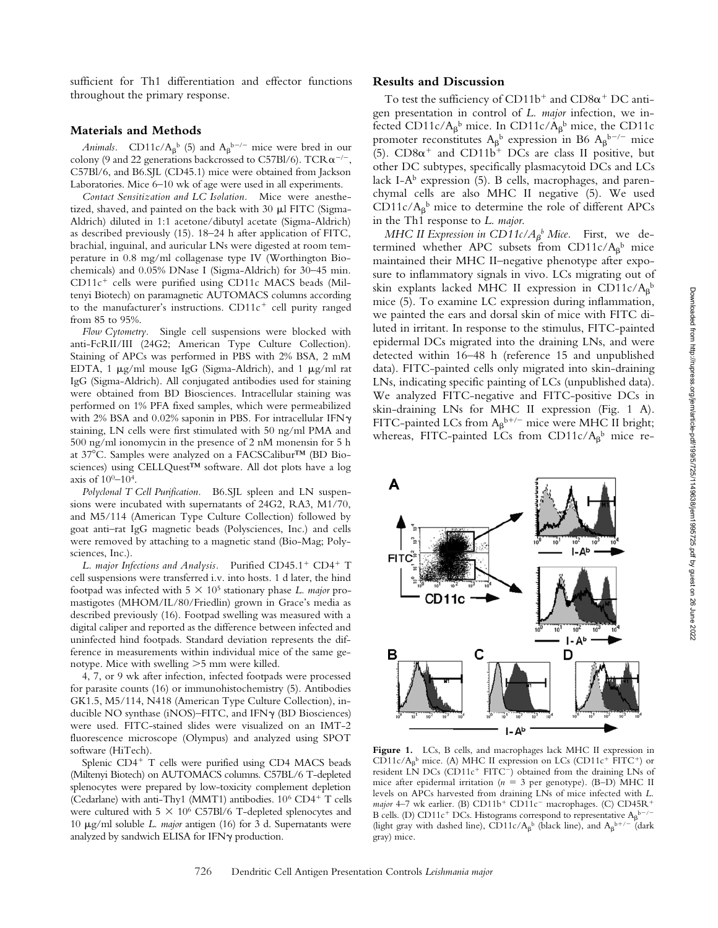sufficient for Th1 differentiation and effector functions throughout the primary response.

#### **Materials and Methods**

*Animals.* CD11c/A<sub> $\beta$ </sub><sup>b</sup> (5) and A<sub> $\beta$ </sub><sup>b-/-</sup> mice were bred in our colony (9 and 22 generations backcrossed to C57Bl/6). TCR  $\alpha^{-/-}$ , C57Bl/6, and B6.SJL (CD45.1) mice were obtained from Jackson Laboratories. Mice 6–10 wk of age were used in all experiments.

*Contact Sensitization and LC Isolation.* Mice were anesthetized, shaved, and painted on the back with  $30 \mu$  FITC (Sigma-Aldrich) diluted in 1:1 acetone/dibutyl acetate (Sigma-Aldrich) as described previously (15). 18–24 h after application of FITC, brachial, inguinal, and auricular LNs were digested at room temperature in 0.8 mg/ml collagenase type IV (Worthington Biochemicals) and 0.05% DNase I (Sigma-Aldrich) for 30–45 min.  $CD11c<sup>+</sup>$  cells were purified using CD11c MACS beads (Miltenyi Biotech) on paramagnetic AUTOMACS columns according to the manufacturer's instructions.  $CD11c<sup>+</sup>$  cell purity ranged from 85 to 95%.

*Flow Cytometry.* Single cell suspensions were blocked with anti-FcRII/III (24G2; American Type Culture Collection). Staining of APCs was performed in PBS with 2% BSA, 2 mM EDTA, 1  $\mu$ g/ml mouse IgG (Sigma-Aldrich), and 1  $\mu$ g/ml rat IgG (Sigma-Aldrich). All conjugated antibodies used for staining were obtained from BD Biosciences. Intracellular staining was performed on 1% PFA fixed samples, which were permeabilized with 2% BSA and 0.02% saponin in PBS. For intracellular IFN $\gamma$ staining, LN cells were first stimulated with 50 ng/ml PMA and 500 ng/ml ionomycin in the presence of 2 nM monensin for 5 h at 37°C. Samples were analyzed on a FACSCalibur™ (BD Biosciences) using CELLQuest™ software. All dot plots have a log axis of  $10^{0}$ – $10^{4}$ .

*Polyclonal T Cell Purification.* B6.SJL spleen and LN suspensions were incubated with supernatants of 24G2, RA3, M1/70, and M5/114 (American Type Culture Collection) followed by goat anti–rat IgG magnetic beads (Polysciences, Inc.) and cells were removed by attaching to a magnetic stand (Bio-Mag; Polysciences, Inc.).

L. major Infections and Analysis. Purified CD45.1<sup>+</sup> CD4<sup>+</sup> T cell suspensions were transferred i.v. into hosts. 1 d later, the hind footpad was infected with 5 105 stationary phase *L. major* promastigotes (MHOM/IL/80/Friedlin) grown in Grace's media as described previously (16). Footpad swelling was measured with a digital caliper and reported as the difference between infected and uninfected hind footpads. Standard deviation represents the difference in measurements within individual mice of the same genotype. Mice with swelling  $>5$  mm were killed.

4, 7, or 9 wk after infection, infected footpads were processed for parasite counts (16) or immunohistochemistry (5). Antibodies GK1.5, M5/114, N418 (American Type Culture Collection), inducible NO synthase (iNOS)-FITC, and IFN $\gamma$  (BD Biosciences) were used. FITC-stained slides were visualized on an IMT-2 fluorescence microscope (Olympus) and analyzed using SPOT software (HiTech).

Splenic CD4<sup>+</sup> T cells were purified using CD4 MACS beads (Miltenyi Biotech) on AUTOMACS columns. C57BL/6 T-depleted splenocytes were prepared by low-toxicity complement depletion (Cedarlane) with anti-Thy1 (MMT1) antibodies.  $10^6$  CD4<sup>+</sup> T cells were cultured with  $5 \times 10^6$  C57Bl/6 T-depleted splenocytes and 10 μg/ml soluble *L. major* antigen (16) for 3 d. Supernatants were analyzed by sandwich ELISA for IFN $\gamma$  production.

#### **Results and Discussion**

To test the sufficiency of  $CD11b^+$  and  $CD8\alpha^+$  DC antigen presentation in control of *L. major* infection, we infected CD11c/ $A_{\beta}$ <sup>b</sup> mice. In CD11c/ $A_{\beta}$ <sup>b</sup> mice, the CD11c promoter reconstitutes  $A_\beta{}^b$  expression in B6  $A_\beta{}^{b-/-}$  mice (5).  $CD8\alpha^+$  and  $CD11b^+$  DCs are class II positive, but other DC subtypes, specifically plasmacytoid DCs and LCs lack I-A $^{\rm b}$  expression (5). B cells, macrophages, and parenchymal cells are also MHC II negative (5). We used  $CD11c/A$ <sup>b</sup> mice to determine the role of different APCs in the Th1 response to *L. major*.

*MHC II Expression in CD11c/A<sub>β</sub>b*</sub> *Mice.* First, we determined whether APC subsets from  $CD11c/A<sub>\beta</sub><sup>b</sup>$  mice maintained their MHC II–negative phenotype after exposure to inflammatory signals in vivo. LCs migrating out of skin explants lacked MHC II expression in CD11c/ $A_\beta{}^b$ mice (5). To examine LC expression during inflammation, we painted the ears and dorsal skin of mice with FITC diluted in irritant. In response to the stimulus, FITC-painted epidermal DCs migrated into the draining LNs, and were detected within 16–48 h (reference 15 and unpublished data). FITC-painted cells only migrated into skin-draining LNs, indicating specific painting of LCs (unpublished data). We analyzed FITC-negative and FITC-positive DCs in skin-draining LNs for MHC II expression (Fig. 1 A). FITC-painted LCs from  $A_{\beta}^{b+/-}$  mice were MHC II bright; whereas, FITC-painted LCs from  $CD11c/A$ <sup>b</sup> mice re-



Figure 1. LCs, B cells, and macrophages lack MHC II expression in CD11c/ $A_{\beta}$ <sup>b</sup> mice. (A) MHC II expression on LCs (CD11c<sup>+</sup> FITC<sup>+</sup>) or resident LN DCs (CD11c<sup>+</sup> FITC<sup>-</sup>) obtained from the draining LNs of mice after epidermal irritation ( $n = 3$  per genotype). (B-D) MHC II levels on APCs harvested from draining LNs of mice infected with *L. major* 4–7 wk earlier. (B) CD11b<sup>+</sup> CD11c<sup>-</sup> macrophages. (C) CD45R<sup>+</sup> B cells. (D) CD11c<sup>+</sup> DCs. Histograms correspond to representative  $A_\beta{}^{b-/-}$ (light gray with dashed line), CD11c/A<sub>β</sub><sup>b</sup> (black line), and A<sub>β</sub><sup>b+/-</sup> (dark gray) mice.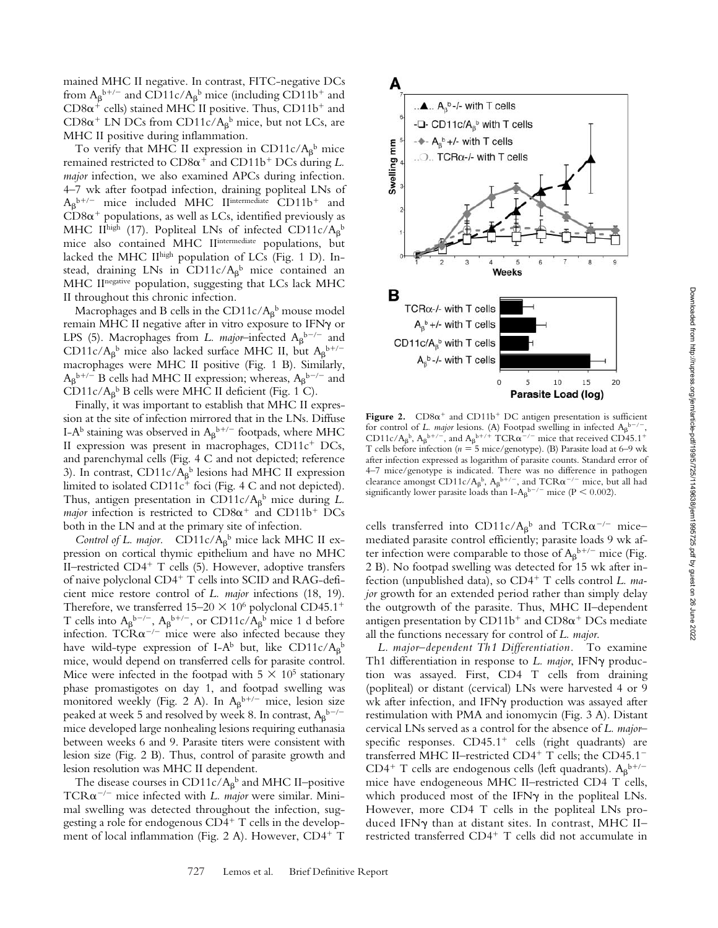mained MHC II negative. In contrast, FITC-negative DCs from  $A_{\beta}$ <sup>b+/-</sup> and CD11c/ $A_{\beta}$ <sup>b</sup> mice (including CD11b<sup>+</sup> and  $CD8\alpha^+$  cells) stained MHC II positive. Thus,  $CD11b^+$  and  $CD8\alpha^+$  LN DCs from  $CD11c/A_\beta^b$  mice, but not LCs, are MHC II positive during inflammation.

To verify that MHC II expression in CD11c/ $A_\beta{}^b$  mice remained restricted to  $CD8\alpha^+$  and  $CD11b^+$  DCs during *L*. *major* infection, we also examined APCs during infection. 4–7 wk after footpad infection, draining popliteal LNs of  $A_{\beta}^{b+/-}$  mice included MHC II<sup>intermediate</sup> CD11b<sup>+</sup> and  $CD8\alpha^+$  populations, as well as LCs, identified previously as MHC II<sup>high</sup> (17). Popliteal LNs of infected CD11c/A<sub>β</sub>b mice also contained MHC II<sup>intermediate</sup> populations, but lacked the MHC IIhigh population of LCs (Fig. 1 D). Instead, draining LNs in  $CD11c/A$ <sup>b</sup> mice contained an MHC IInegative population, suggesting that LCs lack MHC II throughout this chronic infection.

Macrophages and B cells in the CD11c/ $A_\beta{}^{\rm b}$  mouse model remain MHC II negative after in vitro exposure to IFNy or LPS (5). Macrophages from *L. major*–infected  $A_{\beta}$ <sup>b-/-</sup> and CD11c/A<sub>β</sub><sup>b</sup> mice also lacked surface MHC II, but A<sub>β</sub><sup>b+/-</sup> macrophages were MHC II positive (Fig. 1 B). Similarly,  $A_{\beta}^{b+/-}$  B cells had MHC II expression; whereas,  $A_{\beta}^{b-/-}$  and  $CD11c/A$ <sup>B</sup> B cells were MHC II deficient (Fig. 1 C).

Finally, it was important to establish that MHC II expression at the site of infection mirrored that in the LNs. Diffuse I-A<sup>b</sup> staining was observed in  $A_{\beta}^{b+/-}$  footpads, where MHC II expression was present in macrophages,  $CD11c^{+}$  DCs, and parenchymal cells (Fig. 4 C and not depicted; reference 3). In contrast,  $CD11c/A$ <sup>b</sup> lesions had MHC II expression limited to isolated  $CD11c^+$  foci (Fig. 4 C and not depicted). Thus, antigen presentation in  $CD11c/A$ <sup>b</sup> mice during *L*. *major* infection is restricted to  $CD8\alpha^+$  and  $CD11b^+$  DCs both in the LN and at the primary site of infection.

Control of L. major.  $CD11c/A$ <sup>b</sup> mice lack MHC II expression on cortical thymic epithelium and have no MHC II-restricted CD4<sup>+</sup> T cells (5). However, adoptive transfers of naive polyclonal CD4<sup>+</sup> T cells into SCID and RAG-deficient mice restore control of *L. major* infections (18, 19). Therefore, we transferred  $15-20 \times 10^6$  polyclonal CD45.1<sup>+</sup> T cells into  $A_{\beta}^{b-/-}$ ,  $A_{\beta}^{b+/-}$ , or CD11c/ $A_{\beta}^{b}$  mice 1 d before infection. TCR $\alpha$ <sup>-/-</sup> mice were also infected because they have wild-type expression of I-A<sup>b</sup> but, like CD11c/A<sub>β</sub>b mice, would depend on transferred cells for parasite control. Mice were infected in the footpad with  $5 \times 10^5$  stationary phase promastigotes on day 1, and footpad swelling was monitored weekly (Fig. 2 A). In  $A_{\beta}^{b+/-}$  mice, lesion size peaked at week 5 and resolved by week 8. In contrast,  $A_\beta{}^{b-/-}$ mice developed large nonhealing lesions requiring euthanasia between weeks 6 and 9. Parasite titers were consistent with lesion size (Fig. 2 B). Thus, control of parasite growth and lesion resolution was MHC II dependent.

The disease courses in  $CD11c/A$ <sup>b</sup> and MHC II–positive  $TCR\alpha^{-/-}$  mice infected with *L. major* were similar. Minimal swelling was detected throughout the infection, suggesting a role for endogenous  $CD4^+$  T cells in the development of local inflammation (Fig. 2 A). However, CD4<sup>+</sup> T



Figure 2.  $CD8\alpha^+$  and  $CD11b^+$  DC antigen presentation is sufficient for control of *L. major* lesions. (A) Footpad swelling in infected  $A_{\beta}{}^{b-/-}$ , CD11c/A<sub>β</sub><sup>b</sup>, A<sub>β</sub><sup>b+/-</sup>, and A<sub>β</sub><sup>b+/+</sup> TCR $\alpha$ <sup>-/-</sup> mice that received CD45.1<sup>+</sup> T cells before infection ( $n = 5$  mice/genotype). (B) Parasite load at 6–9 wk after infection expressed as logarithm of parasite counts. Standard error of 4–7 mice/genotype is indicated. There was no difference in pathogen clearance amongst CD11c/A<sub>p</sub>b, A<sub>p</sub>b+/-, and TCR $\alpha^{-/-}$  mice, but all had significantly lower parasite loads than I-A<sub>β</sub><sup>b-/-</sup> mice (P < 0.002).

cells transferred into CD11c/ $A_\beta{}^b$  and TCR $\alpha^{-/-}$  mice– mediated parasite control efficiently; parasite loads 9 wk after infection were comparable to those of  $A_{\beta}^{b+/-}$  mice (Fig. 2 B). No footpad swelling was detected for 15 wk after infection (unpublished data), so CD4<sup>+</sup> T cells control *L. major* growth for an extended period rather than simply delay the outgrowth of the parasite. Thus, MHC II–dependent antigen presentation by  $CD11b^+$  and  $CD8\alpha^+$  DCs mediate all the functions necessary for control of *L. major*.

*L. major–dependent Th1 Differentiation.* To examine Th1 differentiation in response to *L. major*, IFNy production was assayed. First, CD4 T cells from draining (popliteal) or distant (cervical) LNs were harvested 4 or 9 wk after infection, and IFNy production was assayed after restimulation with PMA and ionomycin (Fig. 3 A). Distant cervical LNs served as a control for the absence of *L. major–* specific responses.  $CD45.1<sup>+</sup>$  cells (right quadrants) are transferred MHC II-restricted CD4<sup>+</sup> T cells; the CD45.1<sup>-</sup> CD4<sup>+</sup> T cells are endogenous cells (left quadrants).  $A_\beta{}^{b+/-}$ mice have endogeneous MHC II–restricted CD4 T cells, which produced most of the IFN $\gamma$  in the popliteal LNs. However, more CD4 T cells in the popliteal LNs produced IFNy than at distant sites. In contrast, MHC II– restricted transferred CD4<sup>+</sup> T cells did not accumulate in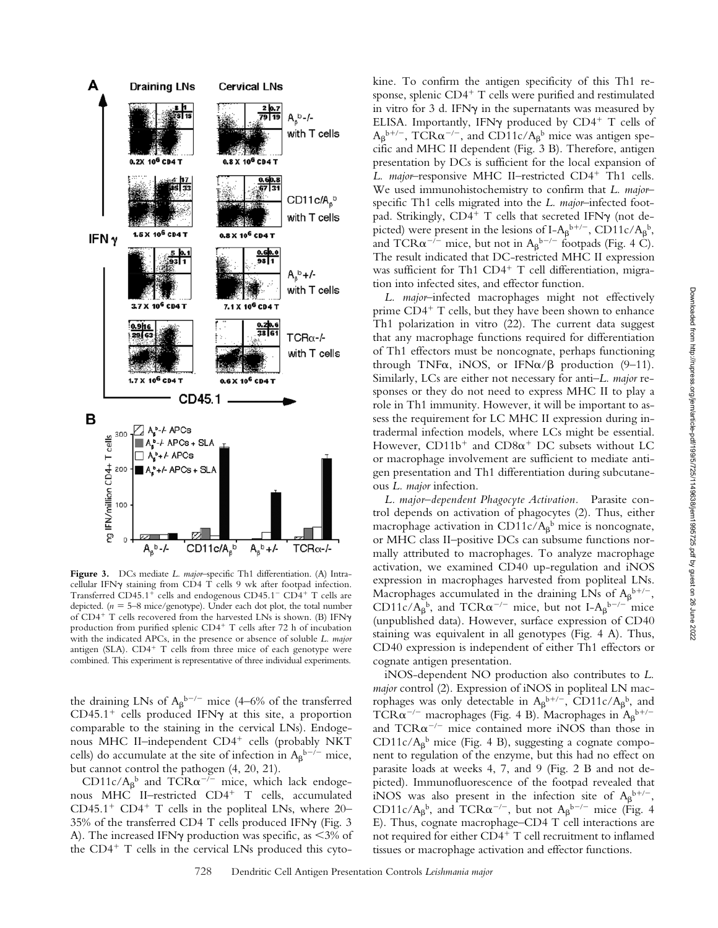

**Figure 3.** DCs mediate *L. major*–specific Th1 differentiation. (A) Intracellular IFN $\gamma$  staining from CD4 T cells 9 wk after footpad infection. Transferred CD45.1<sup>+</sup> cells and endogenous CD45.1<sup>-</sup> CD4<sup>+</sup> T cells are depicted.  $(n = 5-8$  mice/genotype). Under each dot plot, the total number of CD4<sup>+</sup> T cells recovered from the harvested LNs is shown. (B) IFN $\gamma$ production from purified splenic  $CD4^+$  T cells after 72 h of incubation with the indicated APCs, in the presence or absence of soluble *L. major* antigen (SLA).  $CD4^+$  T cells from three mice of each genotype were combined. This experiment is representative of three individual experiments.

the draining LNs of  $A_{\beta}^{b-/-}$  mice (4–6% of the transferred  $CD45.1<sup>+</sup>$  cells produced IFN $\gamma$  at this site, a proportion comparable to the staining in the cervical LNs). Endogenous MHC II-independent CD4<sup>+</sup> cells (probably NKT cells) do accumulate at the site of infection in  $A_{\beta}{}^{b-/-}$  mice, but cannot control the pathogen (4, 20, 21).

CD11c/ $A_{\beta}$ <sup>b</sup> and TCR $\alpha$ <sup>-/-</sup> mice, which lack endogenous MHC II-restricted CD4<sup>+</sup> T cells, accumulated CD45.1<sup>+</sup> CD4<sup>+</sup> T cells in the popliteal LNs, where  $20-$ 35% of the transferred CD4 T cells produced IFN $\gamma$  (Fig. 3) A). The increased IFN $\gamma$  production was specific, as <3% of the  $CD4^+$  T cells in the cervical LNs produced this cytokine. To confirm the antigen specificity of this Th1 response, splenic  $CD4^+$  T cells were purified and restimulated in vitro for 3 d. IFN $\gamma$  in the supernatants was measured by ELISA. Importantly, IFN $\gamma$  produced by CD4<sup>+</sup> T cells of  $A_{\beta}$ <sup>b+/-</sup>, TCR $\alpha$ <sup>-/-</sup>, and CD11c/ $A_{\beta}$ <sup>b</sup> mice was antigen specific and MHC II dependent (Fig. 3 B). Therefore, antigen presentation by DCs is sufficient for the local expansion of *L. major*–responsive MHC II–restricted CD4<sup>+</sup> Th1 cells. We used immunohistochemistry to confirm that *L. major*– specific Th1 cells migrated into the *L. major*–infected footpad. Strikingly,  $CD4^+$  T cells that secreted IFNy (not depicted) were present in the lesions of I-A<sub>β</sub><sup>b+/-</sup>, CD11c/A<sub>β</sub><sup>b</sup>, and TCR $\alpha^{-/-}$  mice, but not in  $A_{\beta}{}^{b-/-}$  footpads (Fig. 4 C). The result indicated that DC-restricted MHC II expression was sufficient for Th1  $CD4^+$  T cell differentiation, migration into infected sites, and effector function.

*L. major*–infected macrophages might not effectively prime  $CD4^+$  T cells, but they have been shown to enhance Th1 polarization in vitro (22). The current data suggest that any macrophage functions required for differentiation of Th1 effectors must be noncognate, perhaps functioning through TNF $\alpha$ , iNOS, or IFN $\alpha/\beta$  production (9-11). Similarly, LCs are either not necessary for anti–*L. major* responses or they do not need to express MHC II to play a role in Th1 immunity. However, it will be important to assess the requirement for LC MHC II expression during intradermal infection models, where LCs might be essential. However,  $CD11b^{+}$  and  $CD8\alpha^{+}$  DC subsets without LC or macrophage involvement are sufficient to mediate antigen presentation and Th1 differentiation during subcutaneous *L. major* infection.

*L. major–dependent Phagocyte Activation.* Parasite control depends on activation of phagocytes (2). Thus, either macrophage activation in CD11c/ $A_{\beta}^{\;\;b}$  mice is noncognate, or MHC class II–positive DCs can subsume functions normally attributed to macrophages. To analyze macrophage activation, we examined CD40 up-regulation and iNOS expression in macrophages harvested from popliteal LNs. Macrophages accumulated in the draining LNs of  $A_{\beta}^{\,b+/-}$ , CD11c/A<sub>β</sub><sup>b</sup>, and TCR $\alpha$ <sup>-/-</sup> mice, but not I-A<sub>β</sub><sup>b-/-</sup> mice (unpublished data). However, surface expression of CD40 staining was equivalent in all genotypes (Fig. 4 A). Thus, CD40 expression is independent of either Th1 effectors or cognate antigen presentation.

iNOS-dependent NO production also contributes to *L. major* control (2). Expression of iNOS in popliteal LN macrophages was only detectable in  $A_{\beta}^{b+/-}$ , CD11c/ $A_{\beta}^{b}$ , and TCR $\alpha$ <sup>-/-</sup> macrophages (Fig. 4 B). Macrophages in  $A_{\beta}$ <sup>b+/-</sup> and  $TCR\alpha^{-/-}$  mice contained more iNOS than those in CD11c/ $A_{\beta}$ <sup>b</sup> mice (Fig. 4 B), suggesting a cognate component to regulation of the enzyme, but this had no effect on parasite loads at weeks 4, 7, and 9 (Fig. 2 B and not depicted). Immunofluorescence of the footpad revealed that iNOS was also present in the infection site of  $A_{\beta}^{b+/-}$ , CD11c/A<sub>β</sub><sup>b</sup>, and TCR $\alpha$ <sup>-/-</sup>, but not A<sub>β</sub><sup>b-/-</sup> mice (Fig. 4) E). Thus, cognate macrophage–CD4 T cell interactions are not required for either  $CD4^+$  T cell recruitment to inflamed tissues or macrophage activation and effector functions.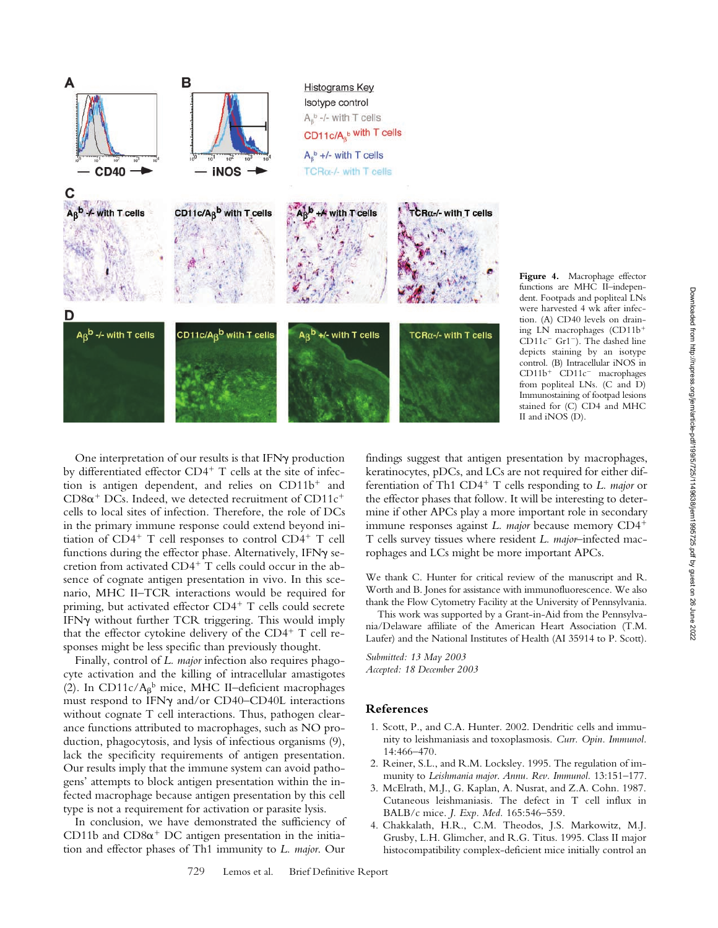

**Figure 4.** Macrophage effector functions are MHC II–independent. Footpads and popliteal LNs were harvested 4 wk after infection. (A) CD40 levels on draining LN macrophages (CD11b  $CD11c^-$  Gr1<sup>-</sup>). The dashed line depicts staining by an isotype control. (B) Intracellular iNOS in CD11b<sup>+</sup> CD11c<sup>-</sup> macrophages from popliteal LNs. (C and D) Immunostaining of footpad lesions stained for (C) CD4 and MHC II and iNOS (D).

One interpretation of our results is that IFN $\gamma$  production by differentiated effector  $CD4^+$  T cells at the site of infection is antigen dependent, and relies on  $CD11b<sup>+</sup>$  and  $CD8\alpha^+$  DCs. Indeed, we detected recruitment of CD11c<sup>+</sup> cells to local sites of infection. Therefore, the role of DCs in the primary immune response could extend beyond initiation of  $CD4^+$  T cell responses to control  $CD4^+$  T cell functions during the effector phase. Alternatively, IFN $\gamma$  secretion from activated  $CD4^+$  T cells could occur in the absence of cognate antigen presentation in vivo. In this scenario, MHC II–TCR interactions would be required for priming, but activated effector CD4+ T cells could secrete IFN $\gamma$  without further TCR triggering. This would imply that the effector cytokine delivery of the  $CD4^+$  T cell responses might be less specific than previously thought.

Finally, control of *L. major* infection also requires phagocyte activation and the killing of intracellular amastigotes (2). In CD11c/ $A_{\beta}$ <sup>b</sup> mice, MHC II-deficient macrophages must respond to IFN $\gamma$  and/or CD40–CD40L interactions without cognate T cell interactions. Thus, pathogen clearance functions attributed to macrophages, such as NO production, phagocytosis, and lysis of infectious organisms (9), lack the specificity requirements of antigen presentation. Our results imply that the immune system can avoid pathogens' attempts to block antigen presentation within the infected macrophage because antigen presentation by this cell type is not a requirement for activation or parasite lysis.

In conclusion, we have demonstrated the sufficiency of CD11b and  $CD8\alpha^+$  DC antigen presentation in the initiation and effector phases of Th1 immunity to *L. major*. Our

findings suggest that antigen presentation by macrophages, keratinocytes, pDCs, and LCs are not required for either differentiation of Th1 CD4<sup>+</sup> T cells responding to *L. major* or the effector phases that follow. It will be interesting to determine if other APCs play a more important role in secondary immune responses against *L. major* because memory CD4 T cells survey tissues where resident *L. major*–infected macrophages and LCs might be more important APCs.

We thank C. Hunter for critical review of the manuscript and R. Worth and B. Jones for assistance with immunofluorescence. We also thank the Flow Cytometry Facility at the University of Pennsylvania.

This work was supported by a Grant-in-Aid from the Pennsylvania/Delaware affiliate of the American Heart Association (T.M. Laufer) and the National Institutes of Health (AI 35914 to P. Scott).

*Submitted: 13 May 2003 Accepted: 18 December 2003*

### **References**

- 1. Scott, P., and C.A. Hunter. 2002. Dendritic cells and immunity to leishmaniasis and toxoplasmosis. *Curr. Opin. Immunol.* 14:466–470.
- 2. Reiner, S.L., and R.M. Locksley. 1995. The regulation of immunity to *Leishmania major*. *Annu. Rev. Immunol.* 13:151–177.
- 3. McElrath, M.J., G. Kaplan, A. Nusrat, and Z.A. Cohn. 1987. Cutaneous leishmaniasis. The defect in T cell influx in BALB/c mice. *J. Exp. Med.* 165:546–559.
- 4. Chakkalath, H.R., C.M. Theodos, J.S. Markowitz, M.J. Grusby, L.H. Glimcher, and R.G. Titus. 1995. Class II major histocompatibility complex-deficient mice initially control an